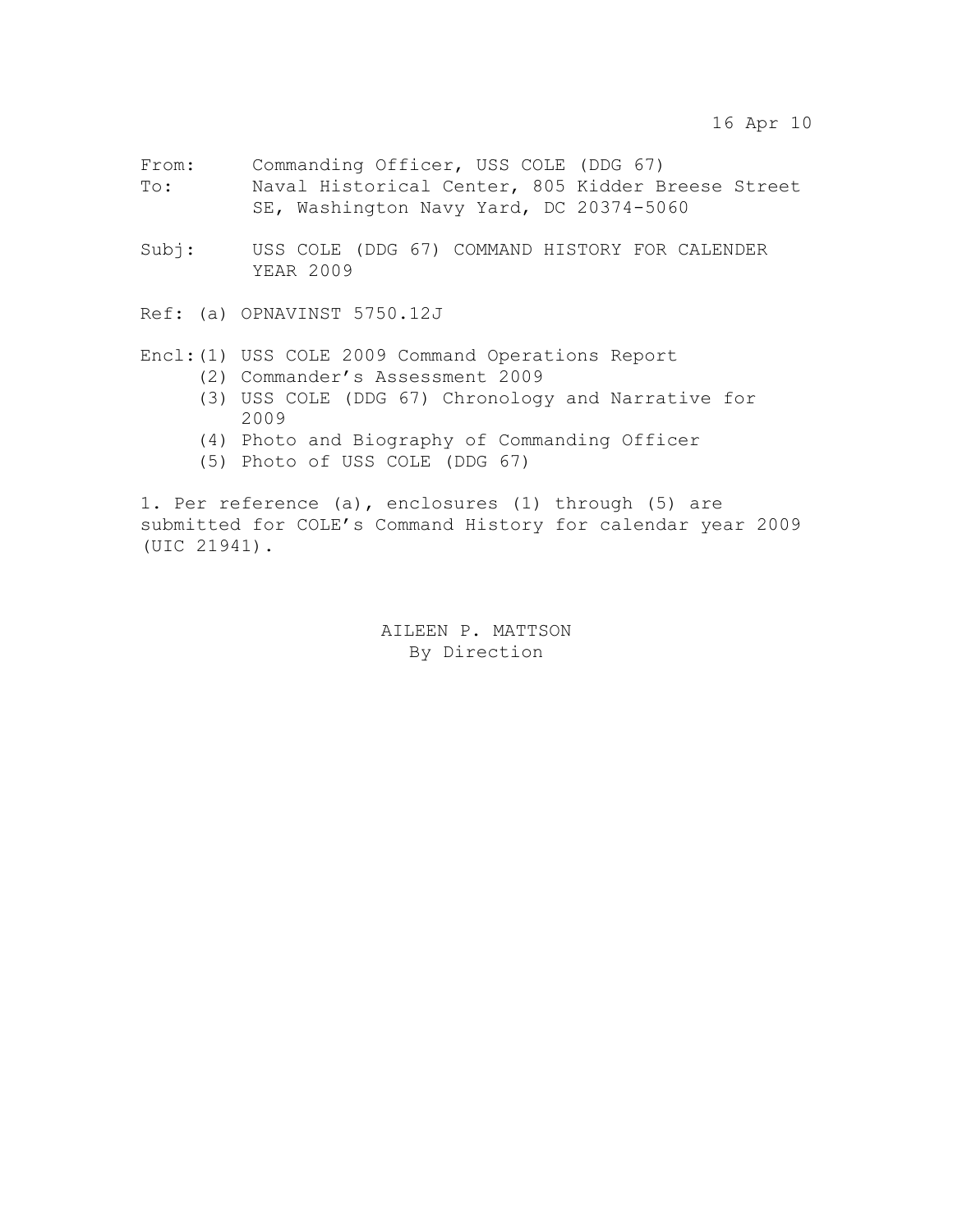- From: Commanding Officer, USS COLE (DDG 67) To: Naval Historical Center, 805 Kidder Breese Street SE, Washington Navy Yard, DC 20374-5060
- Subj: USS COLE (DDG 67) COMMAND HISTORY FOR CALENDER YEAR 2009

Ref: (a) OPNAVINST 5750.12J

## Encl:(1) USS COLE 2009 Command Operations Report

- (2) Commander's Assessment 2009
- (3) USS COLE (DDG 67) Chronology and Narrative for 2009
- (4) Photo and Biography of Commanding Officer
- (5) Photo of USS COLE (DDG 67)

1. Per reference (a), enclosures (1) through (5) are submitted for COLE's Command History for calendar year 2009 (UIC 21941).

> AILEEN P. MATTSON By Direction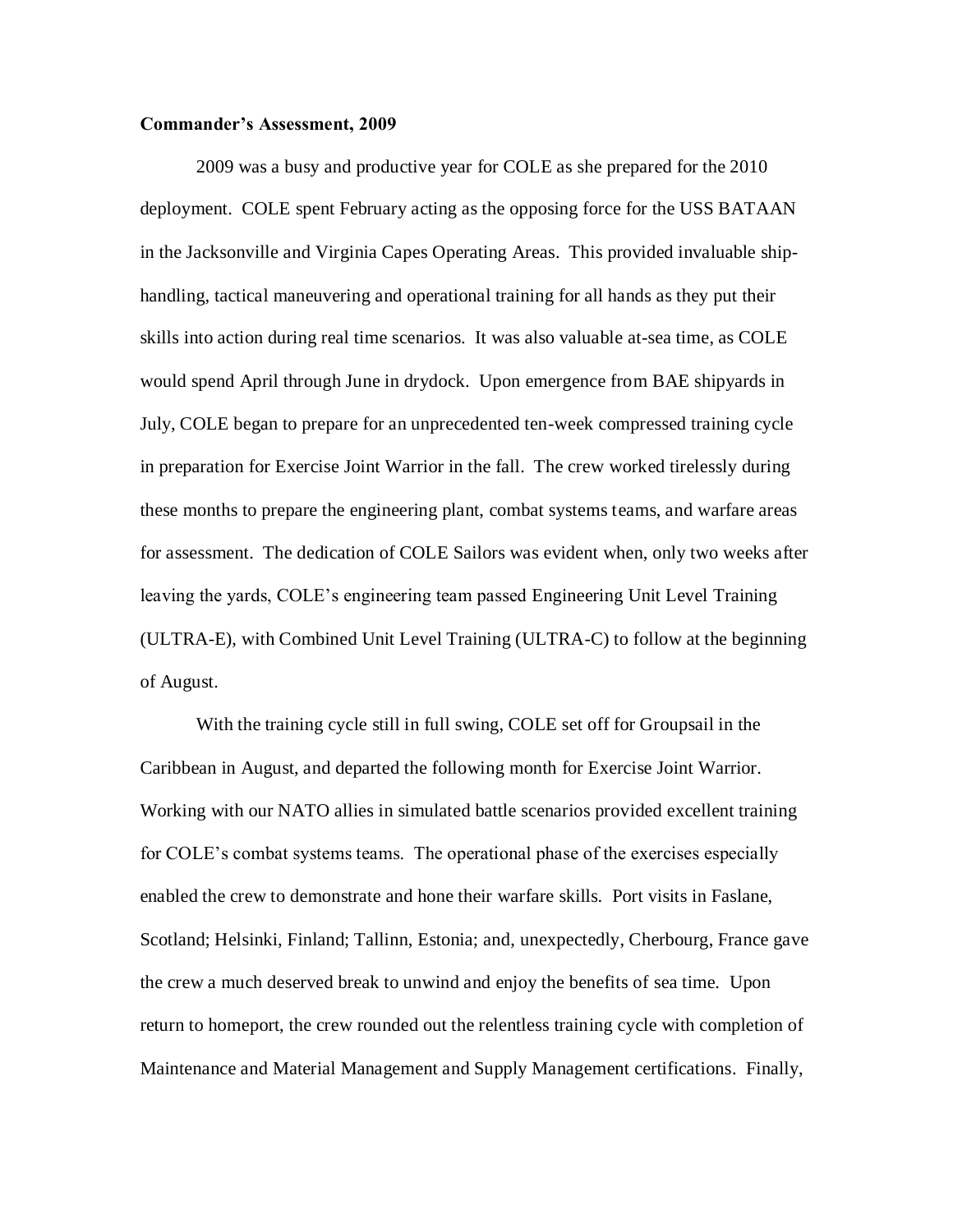#### **Commander's Assessment, 2009**

2009 was a busy and productive year for COLE as she prepared for the 2010 deployment. COLE spent February acting as the opposing force for the USS BATAAN in the Jacksonville and Virginia Capes Operating Areas. This provided invaluable shiphandling, tactical maneuvering and operational training for all hands as they put their skills into action during real time scenarios. It was also valuable at-sea time, as COLE would spend April through June in drydock. Upon emergence from BAE shipyards in July, COLE began to prepare for an unprecedented ten-week compressed training cycle in preparation for Exercise Joint Warrior in the fall. The crew worked tirelessly during these months to prepare the engineering plant, combat systems teams, and warfare areas for assessment. The dedication of COLE Sailors was evident when, only two weeks after leaving the yards, COLE's engineering team passed Engineering Unit Level Training (ULTRA-E), with Combined Unit Level Training (ULTRA-C) to follow at the beginning of August.

With the training cycle still in full swing, COLE set off for Groupsail in the Caribbean in August, and departed the following month for Exercise Joint Warrior. Working with our NATO allies in simulated battle scenarios provided excellent training for COLE's combat systems teams. The operational phase of the exercises especially enabled the crew to demonstrate and hone their warfare skills. Port visits in Faslane, Scotland; Helsinki, Finland; Tallinn, Estonia; and, unexpectedly, Cherbourg, France gave the crew a much deserved break to unwind and enjoy the benefits of sea time. Upon return to homeport, the crew rounded out the relentless training cycle with completion of Maintenance and Material Management and Supply Management certifications. Finally,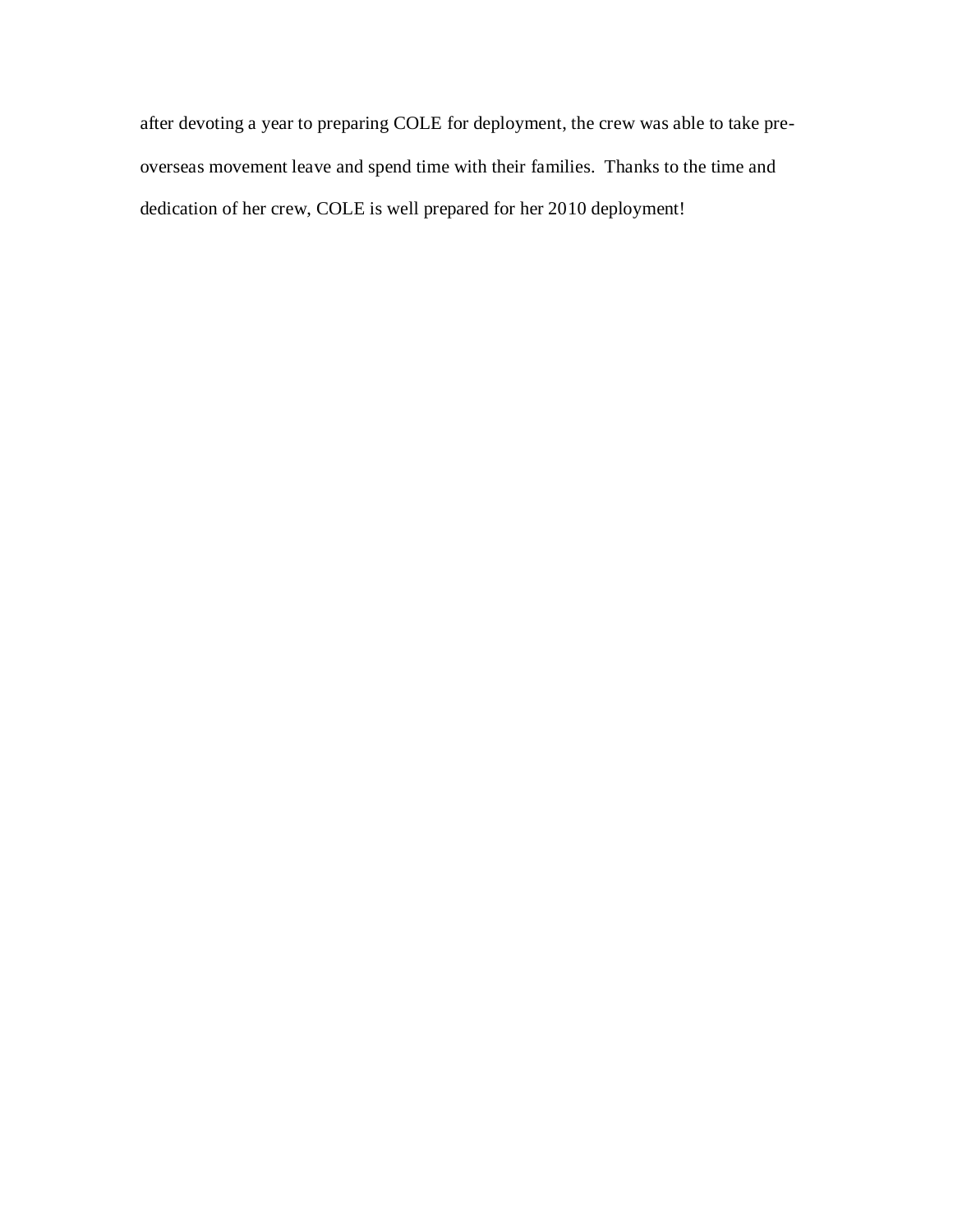after devoting a year to preparing COLE for deployment, the crew was able to take preoverseas movement leave and spend time with their families. Thanks to the time and dedication of her crew, COLE is well prepared for her 2010 deployment!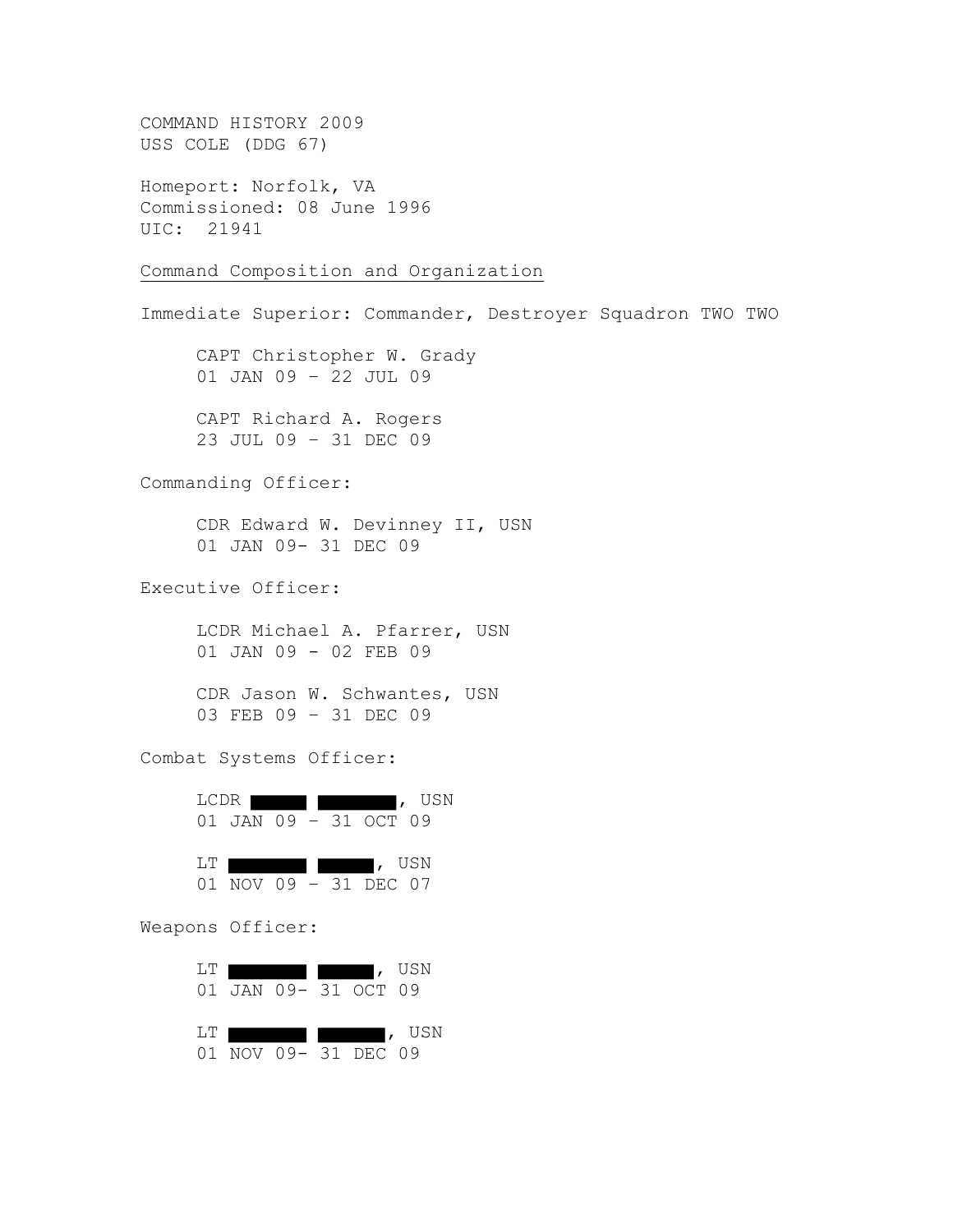COMMAND HISTORY 2009 USS COLE (DDG 67) Homeport: Norfolk, VA Commissioned: 08 June 1996 UIC: 21941 Command Composition and Organization Immediate Superior: Commander, Destroyer Squadron TWO TWO CAPT Christopher W. Grady 01 JAN 09 – 22 JUL 09 CAPT Richard A. Rogers 23 JUL 09 – 31 DEC 09 Commanding Officer: CDR Edward W. Devinney II, USN 01 JAN 09- 31 DEC 09 Executive Officer: LCDR Michael A. Pfarrer, USN 01 JAN 09 - 02 FEB 09 CDR Jason W. Schwantes, USN 03 FEB 09 – 31 DEC 09 Combat Systems Officer: LCDR **the second second second second second second second second second second second second second second second** 01 JAN 09 – 31 OCT 09 LT , USN 01 NOV 09 – 31 DEC 07 Weapons Officer: LT **the set of the set of the set of the set of the set of the set of the set of the set of the set of the set of the set of the set of the set of the set of the set of the set of the set of the set of the set of the set o** 

|     |  | 01 JAN 09- 31 OCT 09 |                      |
|-----|--|----------------------|----------------------|
| LT. |  |                      | $\blacksquare$ , USN |
|     |  | 01 NOV 09- 31 DEC 09 |                      |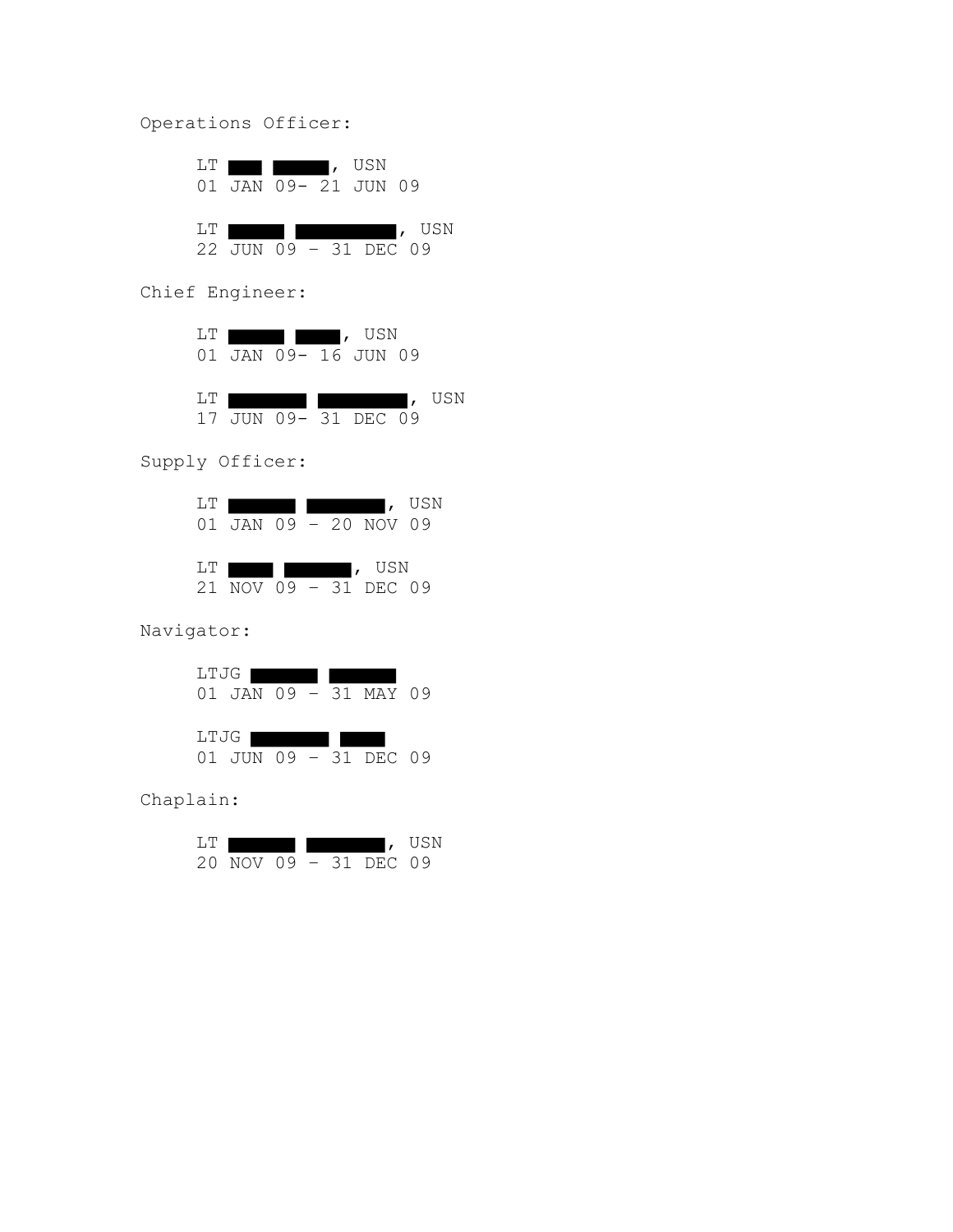Operations Officer:

|      | LT <b>I I</b> , USN |  | 01 JAN 09- 21 JUN 09  |        |
|------|---------------------|--|-----------------------|--------|
| LT 1 |                     |  | 22 JUN 09 - 31 DEC 09 | I, USN |

Chief Engineer:



Supply Officer:

| T.T |  |  | 01 JAN 09 - 20 NOV 09                                                           | I, USN |
|-----|--|--|---------------------------------------------------------------------------------|--------|
| LT. |  |  | $\begin{array}{ccc} \text{I} & \text{USN} \end{array}$<br>21 NOV 09 - 31 DEC 09 |        |

Navigator:

| LTJG |  |  |                       |  |
|------|--|--|-----------------------|--|
|      |  |  | 01 JAN 09 - 31 MAY 09 |  |
|      |  |  |                       |  |
| LTJG |  |  |                       |  |
|      |  |  | 01 JUN 09 - 31 DEC 09 |  |

Chaplain:

| - I .T |                       |  |  | USN |
|--------|-----------------------|--|--|-----|
|        | 20 NOV 09 - 31 DEC 09 |  |  |     |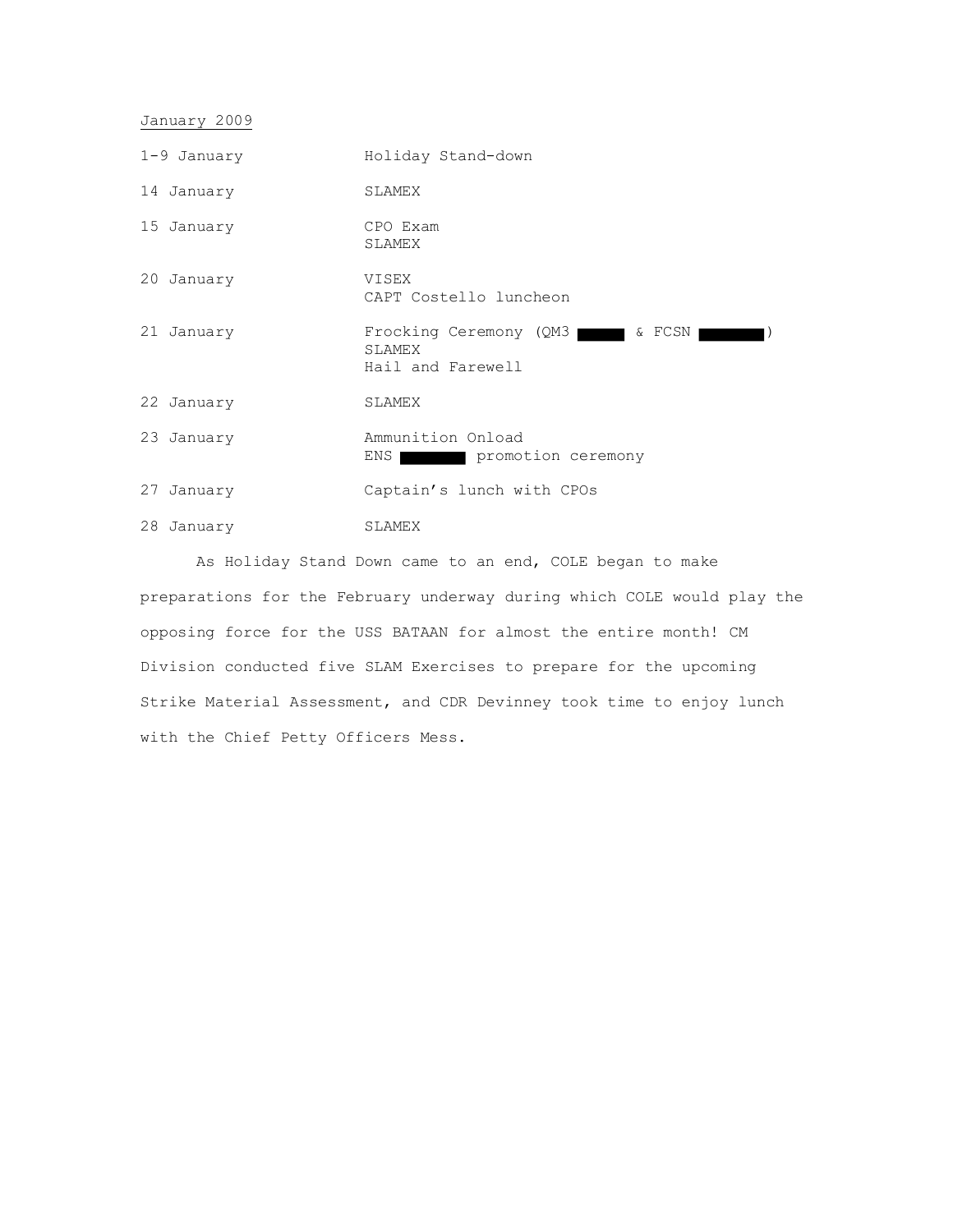January 2009

| $1-9$ January | Holiday Stand-down                                           |
|---------------|--------------------------------------------------------------|
| 14 January    | SLAMEX                                                       |
| 15 January    | CPO Exam<br>SLAMEX                                           |
| 20 January    | VISEX<br>CAPT Costello luncheon                              |
| 21 January    | Frocking Ceremony (QM3<br><b>SLAMEX</b><br>Hail and Farewell |
| 22 January    | SLAMEX                                                       |
| 23 January    | Ammunition Onload<br>promotion ceremony<br>ENS               |
| 27<br>January | Captain's lunch with CPOs                                    |
| 28 January    | SLAMEX                                                       |

As Holiday Stand Down came to an end, COLE began to make preparations for the February underway during which COLE would play the opposing force for the USS BATAAN for almost the entire month! CM Division conducted five SLAM Exercises to prepare for the upcoming Strike Material Assessment, and CDR Devinney took time to enjoy lunch with the Chief Petty Officers Mess.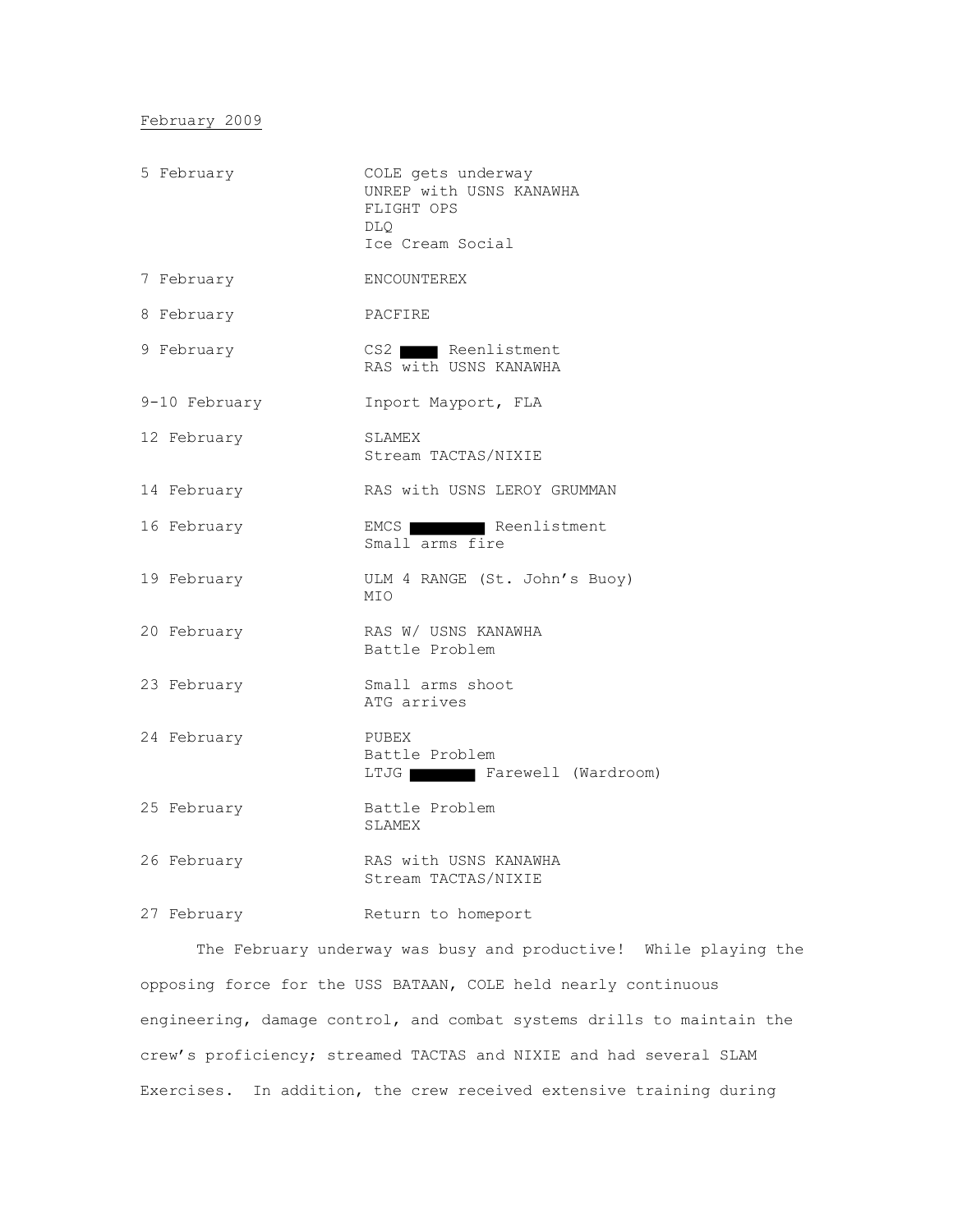February 2009

| 5 February    | COLE gets underway<br>UNREP with USNS KANAWHA<br>FLIGHT OPS<br>DLO<br>Ice Cream Social |
|---------------|----------------------------------------------------------------------------------------|
| 7 February    | <b>ENCOUNTEREX</b>                                                                     |
| 8 February    | PACFIRE                                                                                |
| 9 February    | CS2 Reenlistment<br>RAS with USNS KANAWHA                                              |
| 9-10 February | Inport Mayport, FLA                                                                    |
| 12 February   | SLAMEX<br>Stream TACTAS/NIXIE                                                          |
| 14 February   | RAS with USNS LEROY GRUMMAN                                                            |
| 16 February   | EMCS Reenlistment<br>Small arms fire                                                   |
| 19 February   | ULM 4 RANGE (St. John's Buoy)<br>MIO                                                   |
| 20 February   | RAS W/ USNS KANAWHA<br>Battle Problem                                                  |
| 23 February   | Small arms shoot<br>ATG arrives                                                        |
| 24 February   | PUBEX<br>Battle Problem<br>LTJG Farewell (Wardroom)                                    |
| 25 February   | Battle Problem<br>SLAMEX                                                               |
| 26 February   | RAS with USNS KANAWHA<br>Stream TACTAS/NIXIE                                           |
|               |                                                                                        |

27 February Return to homeport

The February underway was busy and productive! While playing the opposing force for the USS BATAAN, COLE held nearly continuous engineering, damage control, and combat systems drills to maintain the crew's proficiency; streamed TACTAS and NIXIE and had several SLAM Exercises. In addition, the crew received extensive training during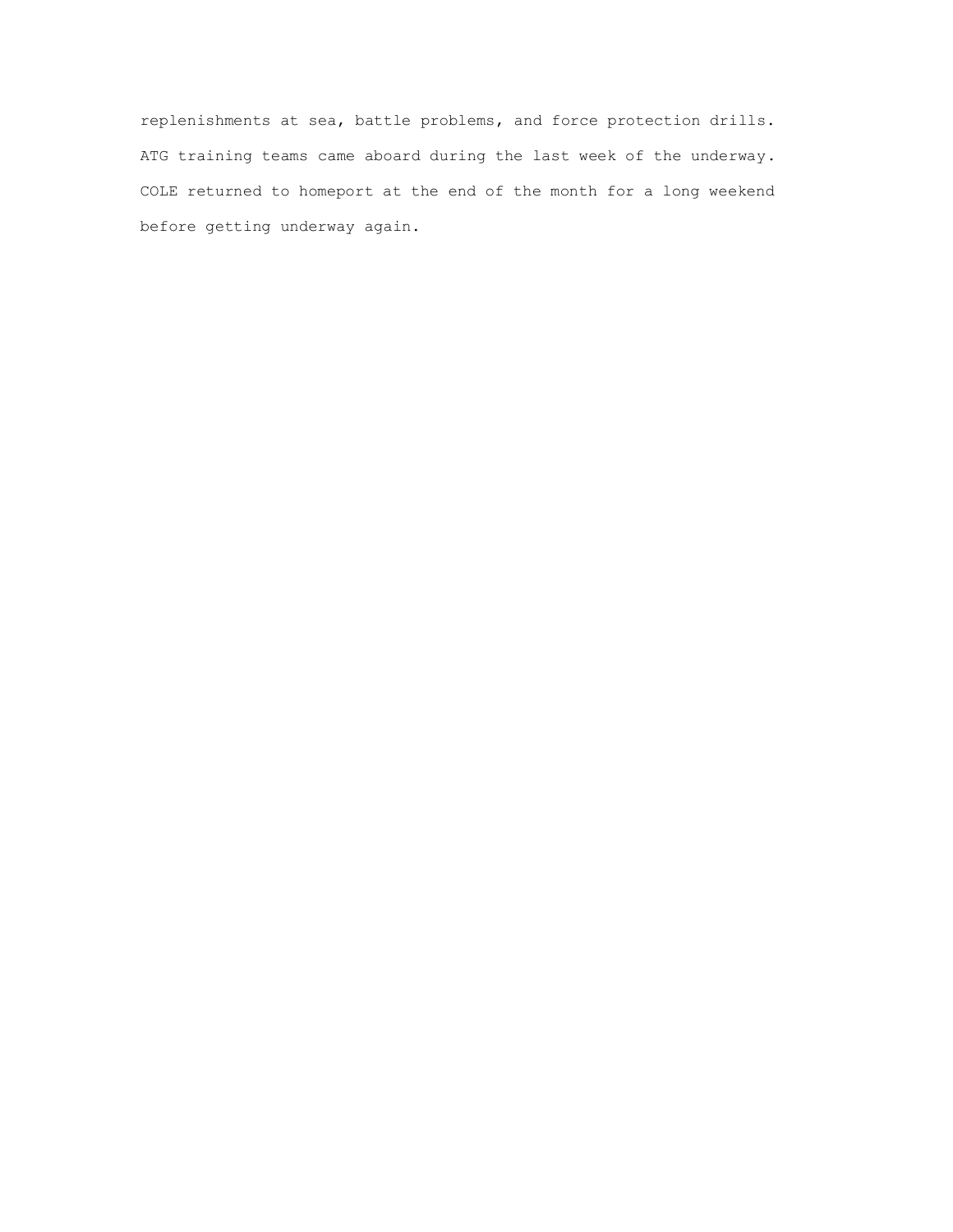replenishments at sea, battle problems, and force protection drills. ATG training teams came aboard during the last week of the underway. COLE returned to homeport at the end of the month for a long weekend before getting underway again.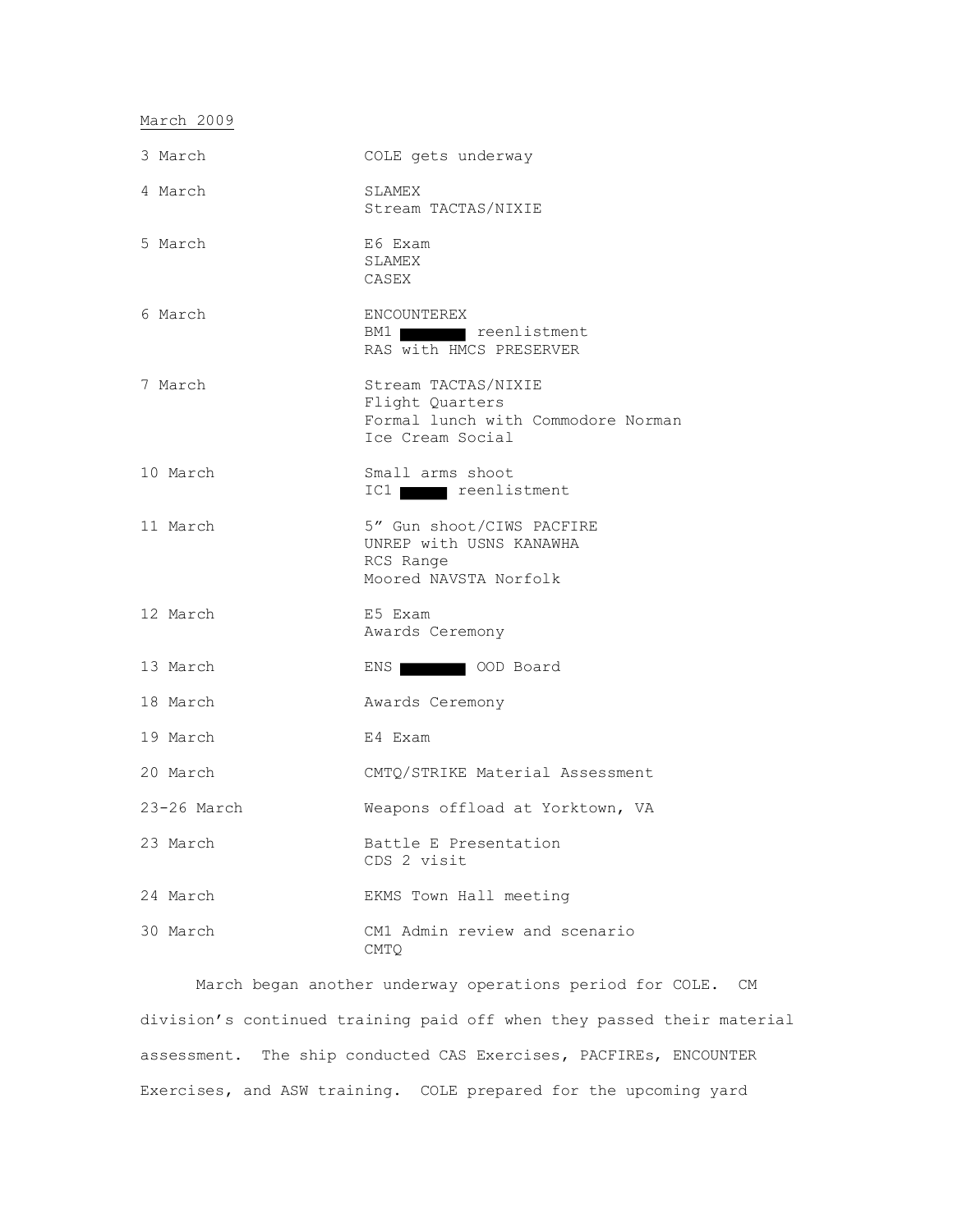### March 2009

| 3 March       | COLE gets underway                                                                               |
|---------------|--------------------------------------------------------------------------------------------------|
| 4 March       | SLAMEX<br>Stream TACTAS/NIXIE                                                                    |
| 5 March       | E6 Exam<br>SLAMEX<br>CASEX                                                                       |
| 6 March       | ENCOUNTEREX<br>BM1 reenlistment<br>RAS with HMCS PRESERVER                                       |
| 7 March       | Stream TACTAS/NIXIE<br>Flight Quarters<br>Formal lunch with Commodore Norman<br>Ice Cream Social |
| 10 March      | Small arms shoot<br>IC1 reenlistment                                                             |
| 11 March      | 5" Gun shoot/CIWS PACFIRE<br>UNREP with USNS KANAWHA<br>RCS Range<br>Moored NAVSTA Norfolk       |
| 12 March      | E5 Exam<br>Awards Ceremony                                                                       |
| 13 March      | ENS WELL COD Board                                                                               |
| 18 March      | Awards Ceremony                                                                                  |
| 19 March      | E4 Exam                                                                                          |
| 20 March      | CMTQ/STRIKE Material Assessment                                                                  |
| $23-26$ March | Weapons offload at Yorktown, VA                                                                  |
| 23 March      | Battle E Presentation<br>CDS 2 visit                                                             |
| 24 March      | EKMS Town Hall meeting                                                                           |
| 30 March      | CM1 Admin review and scenario<br><b>CMTO</b>                                                     |

March began another underway operations period for COLE. CM division's continued training paid off when they passed their material assessment. The ship conducted CAS Exercises, PACFIREs, ENCOUNTER Exercises, and ASW training. COLE prepared for the upcoming yard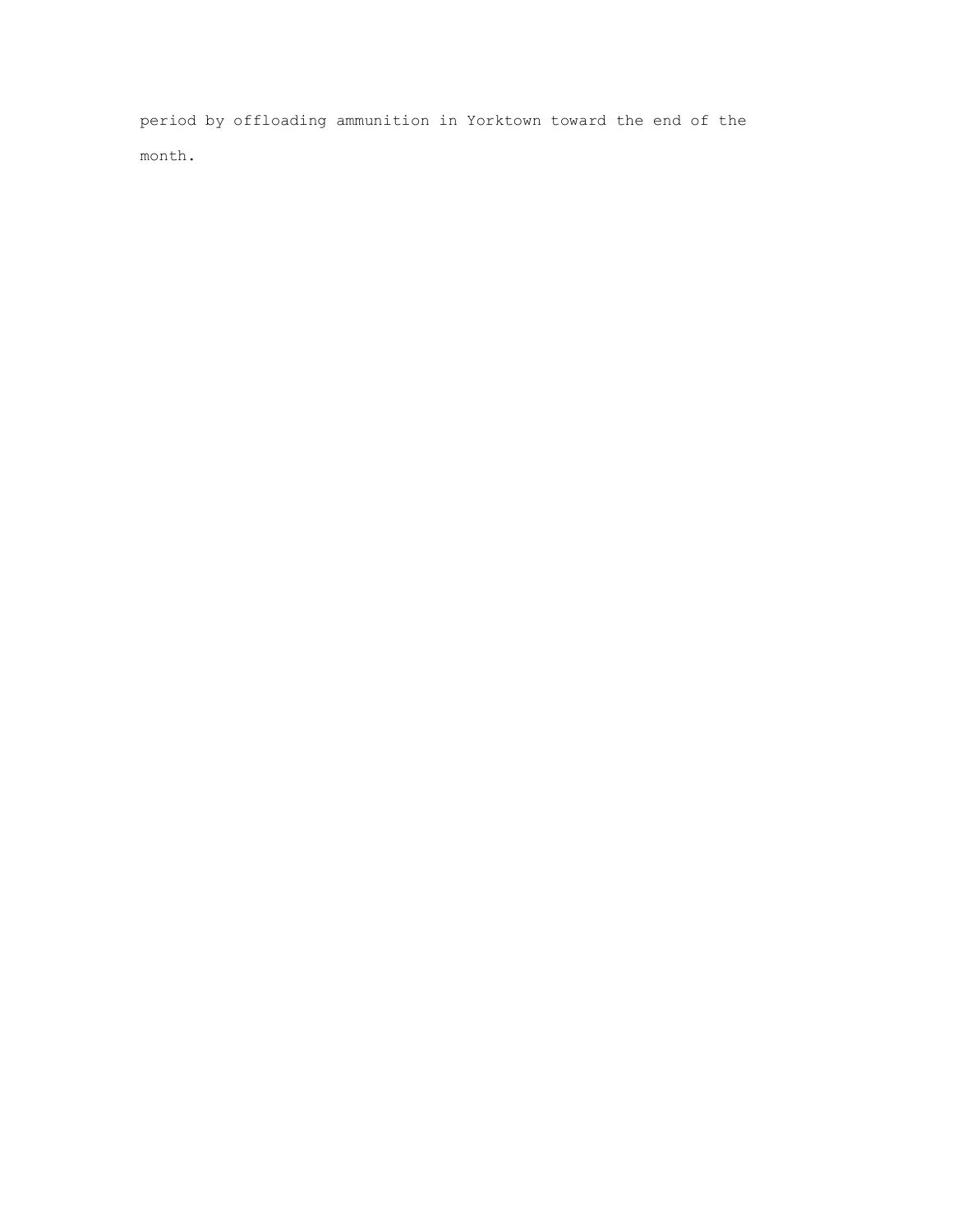period by offloading ammunition in Yorktown toward the end of the month.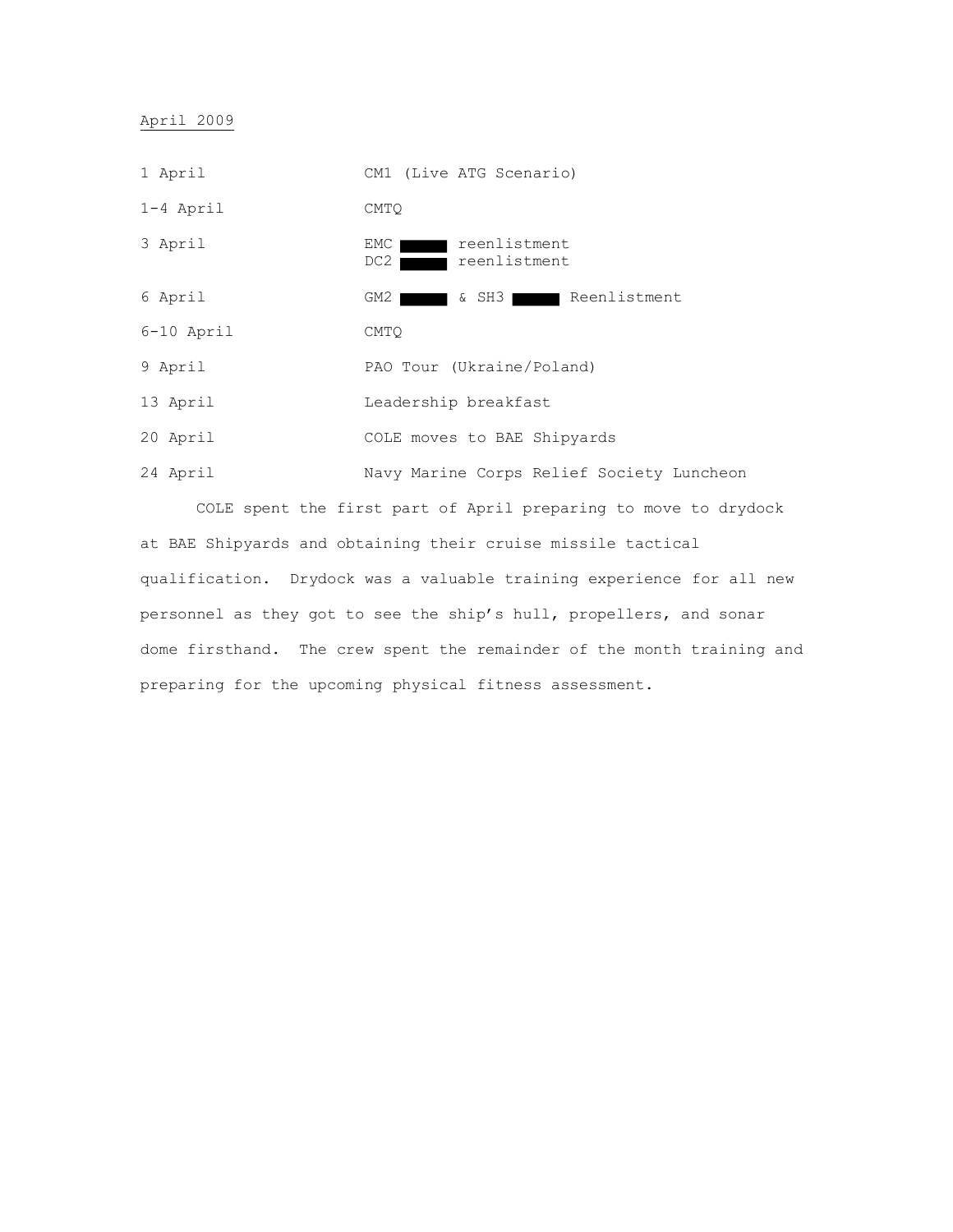April 2009



COLE spent the first part of April preparing to move to drydock at BAE Shipyards and obtaining their cruise missile tactical qualification. Drydock was a valuable training experience for all new personnel as they got to see the ship's hull, propellers, and sonar dome firsthand. The crew spent the remainder of the month training and preparing for the upcoming physical fitness assessment.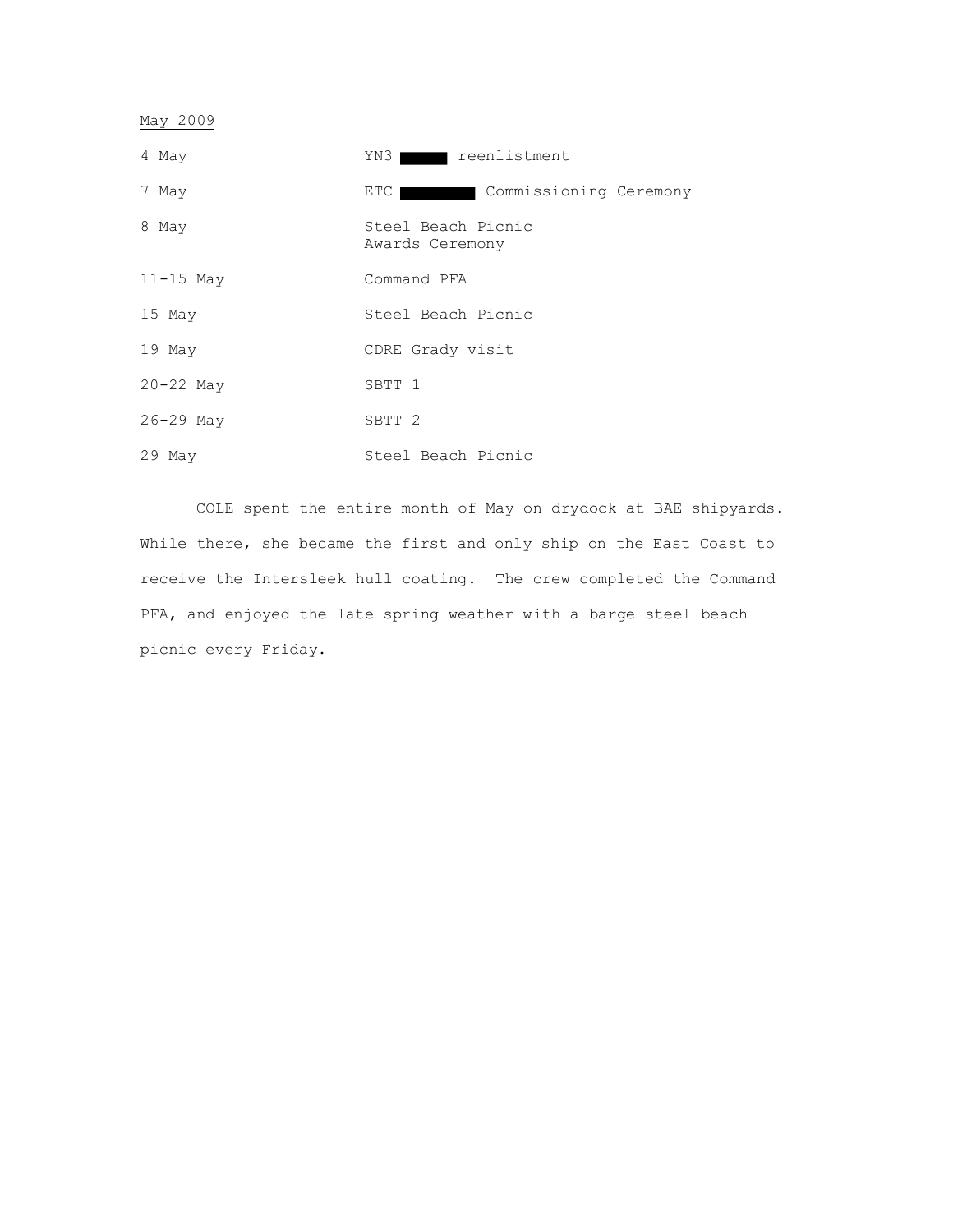May 2009

| 4 May         | stment reenlistment<br>YN3            |
|---------------|---------------------------------------|
| 7 May         | Commissioning Ceremony<br>ETC 1       |
| 8 May         | Steel Beach Picnic<br>Awards Ceremony |
| $11-15$ May   | Command PFA                           |
| 15 May        | Steel Beach Picnic                    |
| $19$ May      | CDRE Grady visit                      |
| $20 - 22$ May | SBTT 1                                |
| $26 - 29$ May | SBTT <sub>2</sub>                     |
| 29 May        | Steel Beach Picnic                    |

COLE spent the entire month of May on drydock at BAE shipyards. While there, she became the first and only ship on the East Coast to receive the Intersleek hull coating. The crew completed the Command PFA, and enjoyed the late spring weather with a barge steel beach picnic every Friday.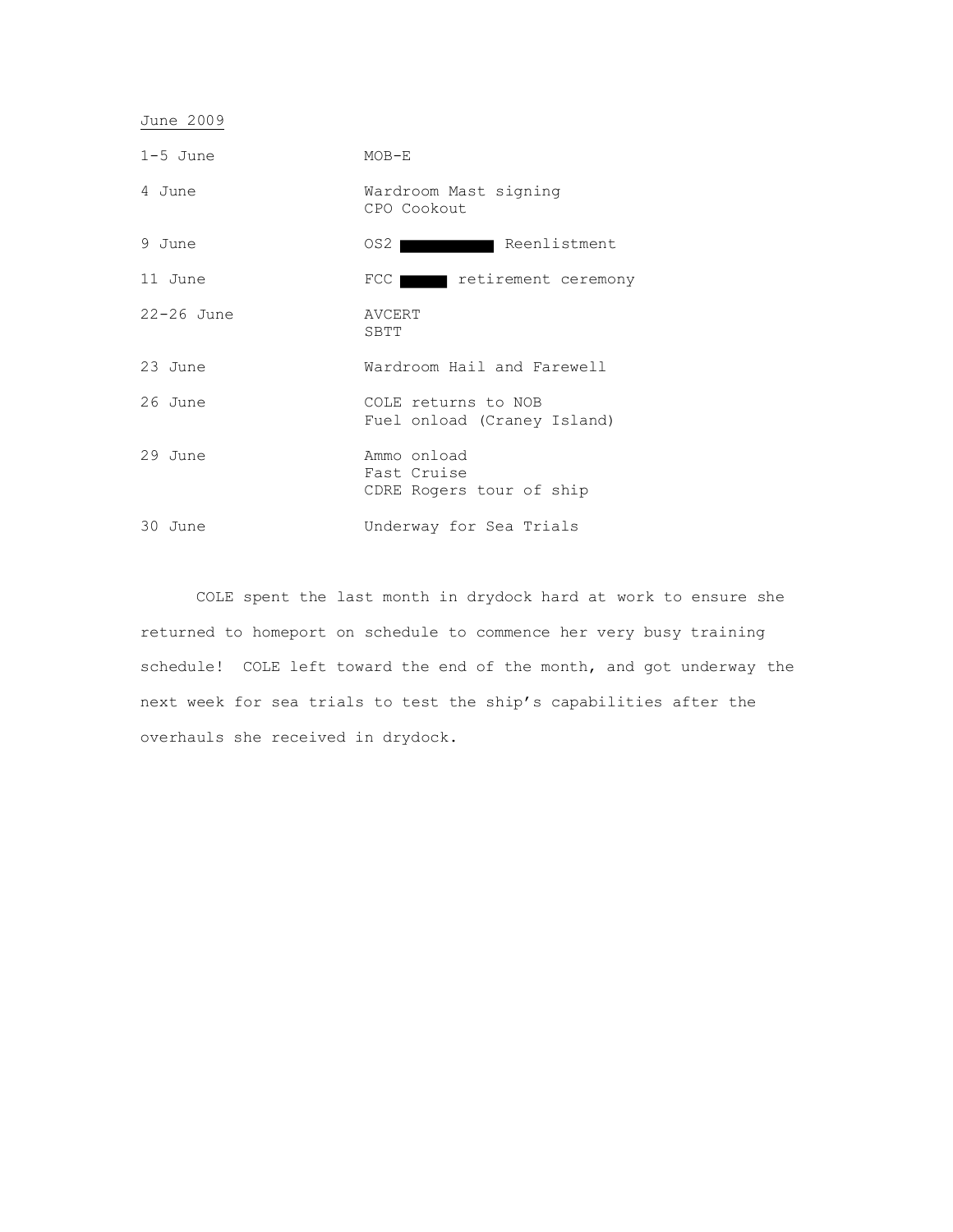| $1-5$ June     | $MOB-E$                                                |
|----------------|--------------------------------------------------------|
| 4 June         | Wardroom Mast signing<br>CPO Cookout                   |
| 9 June         | Reenlistment<br>OS2 I                                  |
| 11 June        | FCC retirement ceremony                                |
| $22 - 26$ June | AVCERT<br>SBTT                                         |
| 23 June        | Wardroom Hail and Farewell                             |
| 26 June        | COLE returns to NOB<br>Fuel onload (Craney Island)     |
| 29 June        | Ammo onload<br>Fast Cruise<br>CDRE Rogers tour of ship |
| 30 June        | Underway for Sea Trials                                |

June 2009

COLE spent the last month in drydock hard at work to ensure she returned to homeport on schedule to commence her very busy training schedule! COLE left toward the end of the month, and got underway the next week for sea trials to test the ship's capabilities after the overhauls she received in drydock.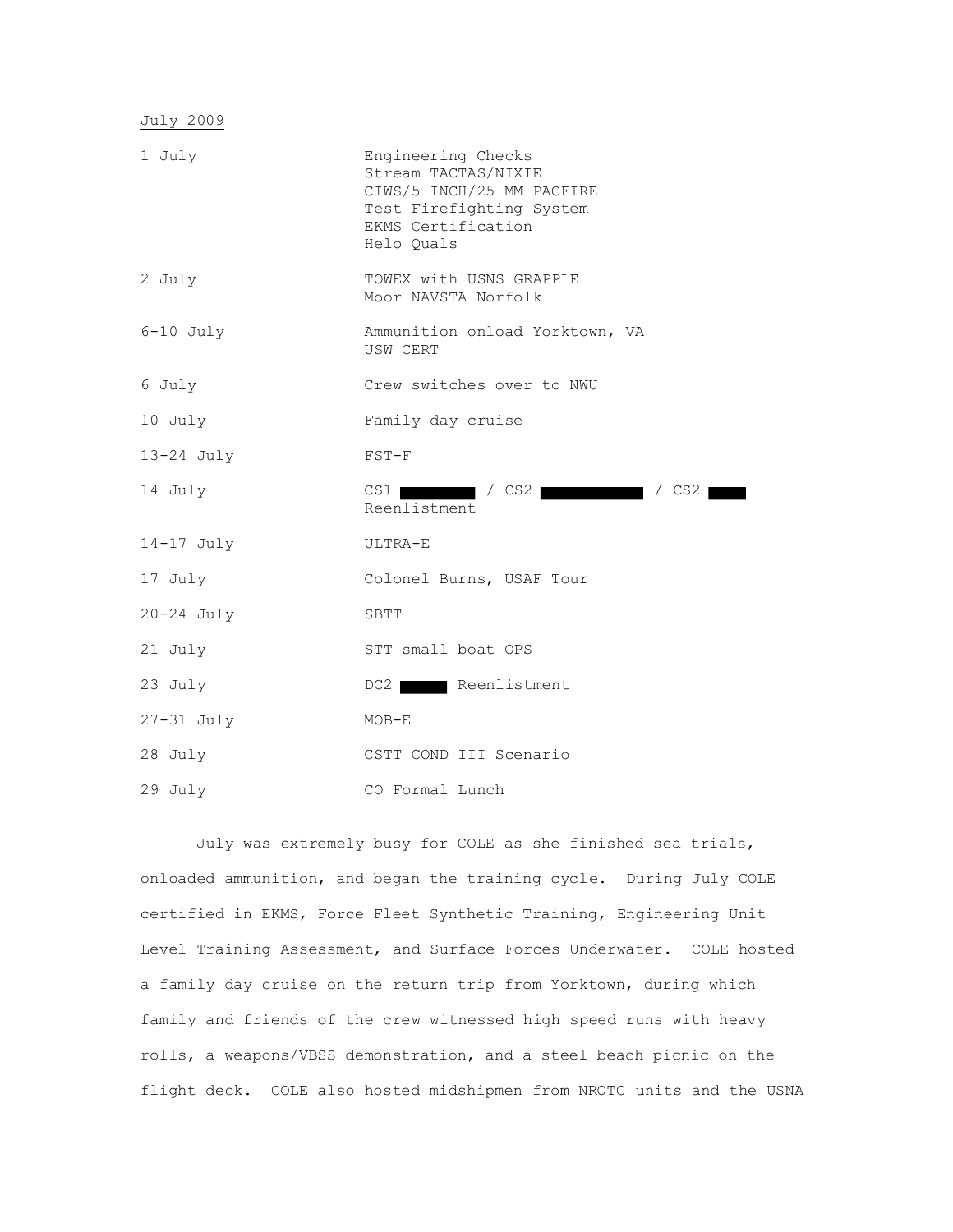| 1 July         | Engineering Checks<br>Stream TACTAS/NIXIE<br>CIWS/5 INCH/25 MM PACFIRE<br>Test Firefighting System<br>EKMS Certification<br>Helo Ouals |
|----------------|----------------------------------------------------------------------------------------------------------------------------------------|
| 2 July         | TOWEX with USNS GRAPPLE<br>Moor NAVSTA Norfolk                                                                                         |
| $6-10$ July    | Ammunition onload Yorktown, VA<br>USW CERT                                                                                             |
| 6 July         | Crew switches over to NWU                                                                                                              |
| 10 July        | Family day cruise                                                                                                                      |
| $13-24$ July   | $FST-F$                                                                                                                                |
| 14 July        | $\sqrt{CS2}$ / CS2<br>$CS1$  <br>Reenlistment                                                                                          |
| $14-17$ July   | ULTRA-E                                                                                                                                |
| 17 July        | Colonel Burns, USAF Tour                                                                                                               |
| $20 - 24$ July | SBTT                                                                                                                                   |
| 21 July        | STT small boat OPS                                                                                                                     |
| 23 July        | Reenlistment<br>DC2                                                                                                                    |
| $27-31$ July   | $MOB-E$                                                                                                                                |
| 28 July        | CSTT COND III Scenario                                                                                                                 |
| 29 July        | CO Formal Lunch                                                                                                                        |

July was extremely busy for COLE as she finished sea trials, onloaded ammunition, and began the training cycle. During July COLE certified in EKMS, Force Fleet Synthetic Training, Engineering Unit Level Training Assessment, and Surface Forces Underwater. COLE hosted a family day cruise on the return trip from Yorktown, during which family and friends of the crew witnessed high speed runs with heavy rolls, a weapons/VBSS demonstration, and a steel beach picnic on the flight deck. COLE also hosted midshipmen from NROTC units and the USNA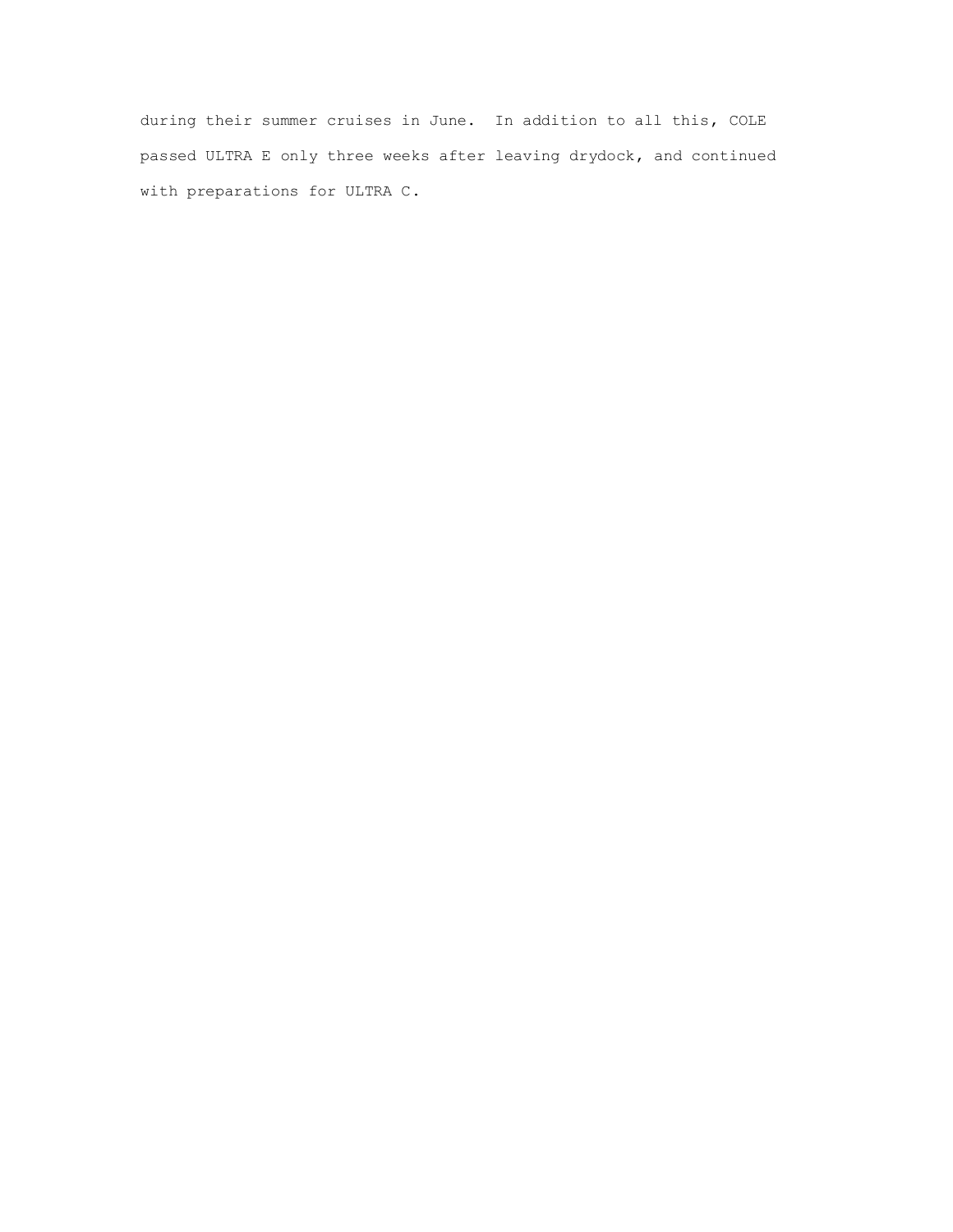during their summer cruises in June. In addition to all this, COLE passed ULTRA E only three weeks after leaving drydock, and continued with preparations for ULTRA C.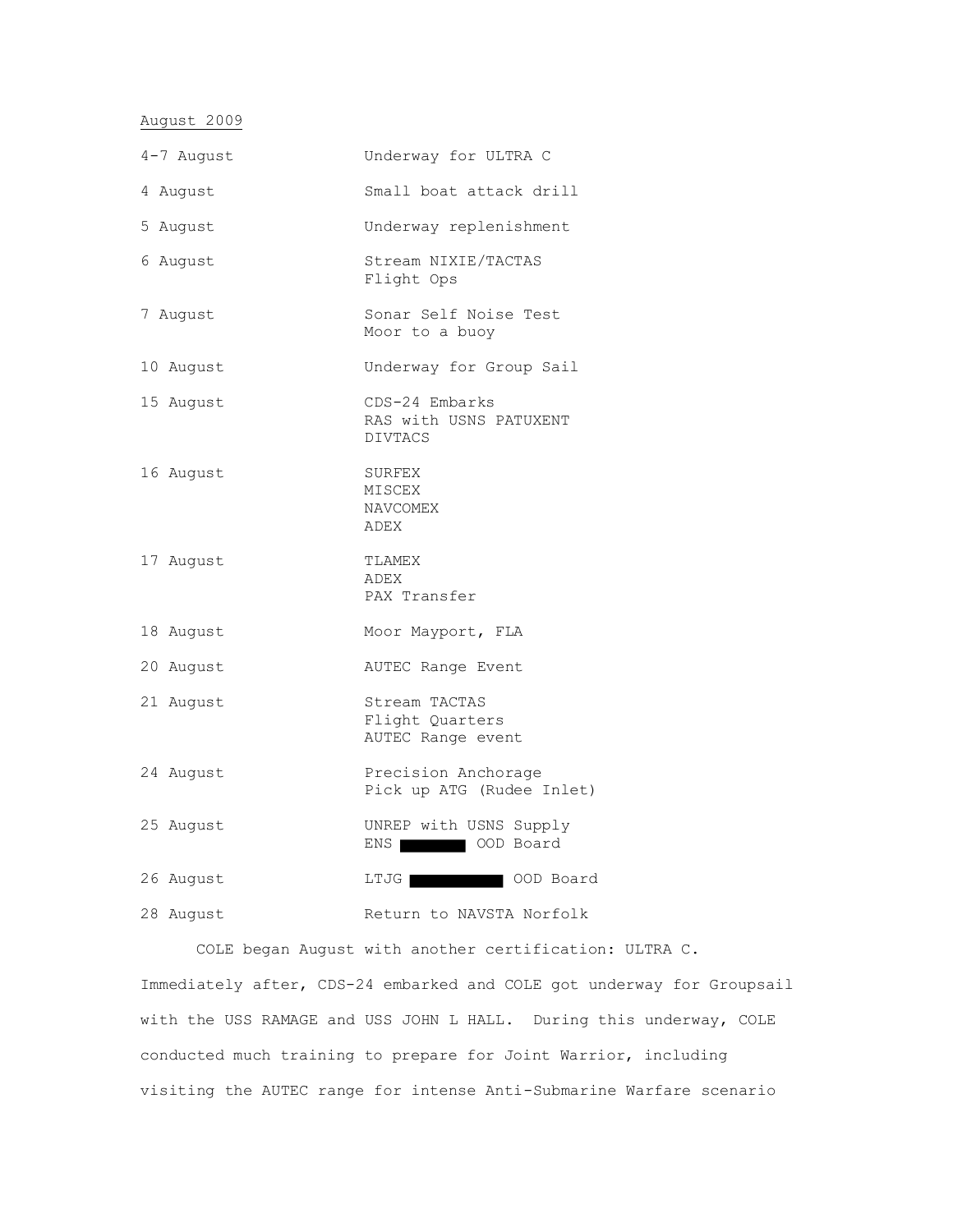August 2009

| 4-7 August | Underway for ULTRA C                                       |
|------------|------------------------------------------------------------|
| 4 August   | Small boat attack drill                                    |
| 5 August   | Underway replenishment                                     |
| 6 August   | Stream NIXIE/TACTAS<br>Flight Ops                          |
| 7 August   | Sonar Self Noise Test<br>Moor to a buoy                    |
| 10 August  | Underway for Group Sail                                    |
| 15 August  | CDS-24 Embarks<br>RAS with USNS PATUXENT<br><b>DIVTACS</b> |
| 16 August  | SURFEX<br>MISCEX<br>NAVCOMEX<br>ADEX                       |
| 17 August  | TLAMEX<br>ADEX<br>PAX Transfer                             |
| 18 August  | Moor Mayport, FLA                                          |
| 20 August  | AUTEC Range Event                                          |
| 21 August  | Stream TACTAS<br>Flight Quarters<br>AUTEC Range event      |
| 24 August  | Precision Anchorage<br>Pick up ATG (Rudee Inlet)           |
| 25 August  | UNREP with USNS Supply<br>ENS OOD Board                    |
| 26 August  | LTJG OOD Board                                             |
| 28 August  | Return to NAVSTA Norfolk                                   |

COLE began August with another certification: ULTRA C. Immediately after, CDS-24 embarked and COLE got underway for Groupsail with the USS RAMAGE and USS JOHN L HALL. During this underway, COLE conducted much training to prepare for Joint Warrior, including visiting the AUTEC range for intense Anti-Submarine Warfare scenario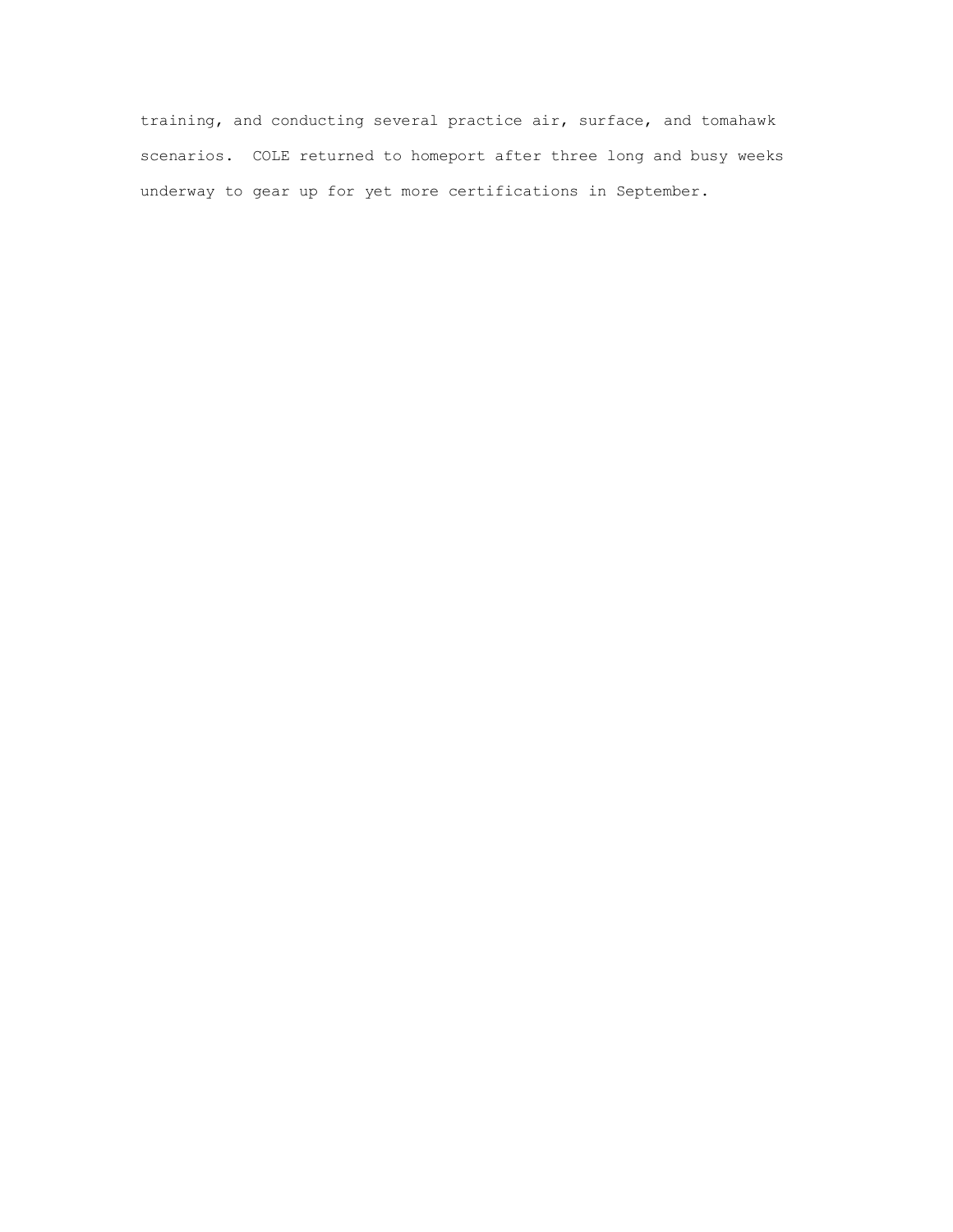training, and conducting several practice air, surface, and tomahawk scenarios. COLE returned to homeport after three long and busy weeks underway to gear up for yet more certifications in September.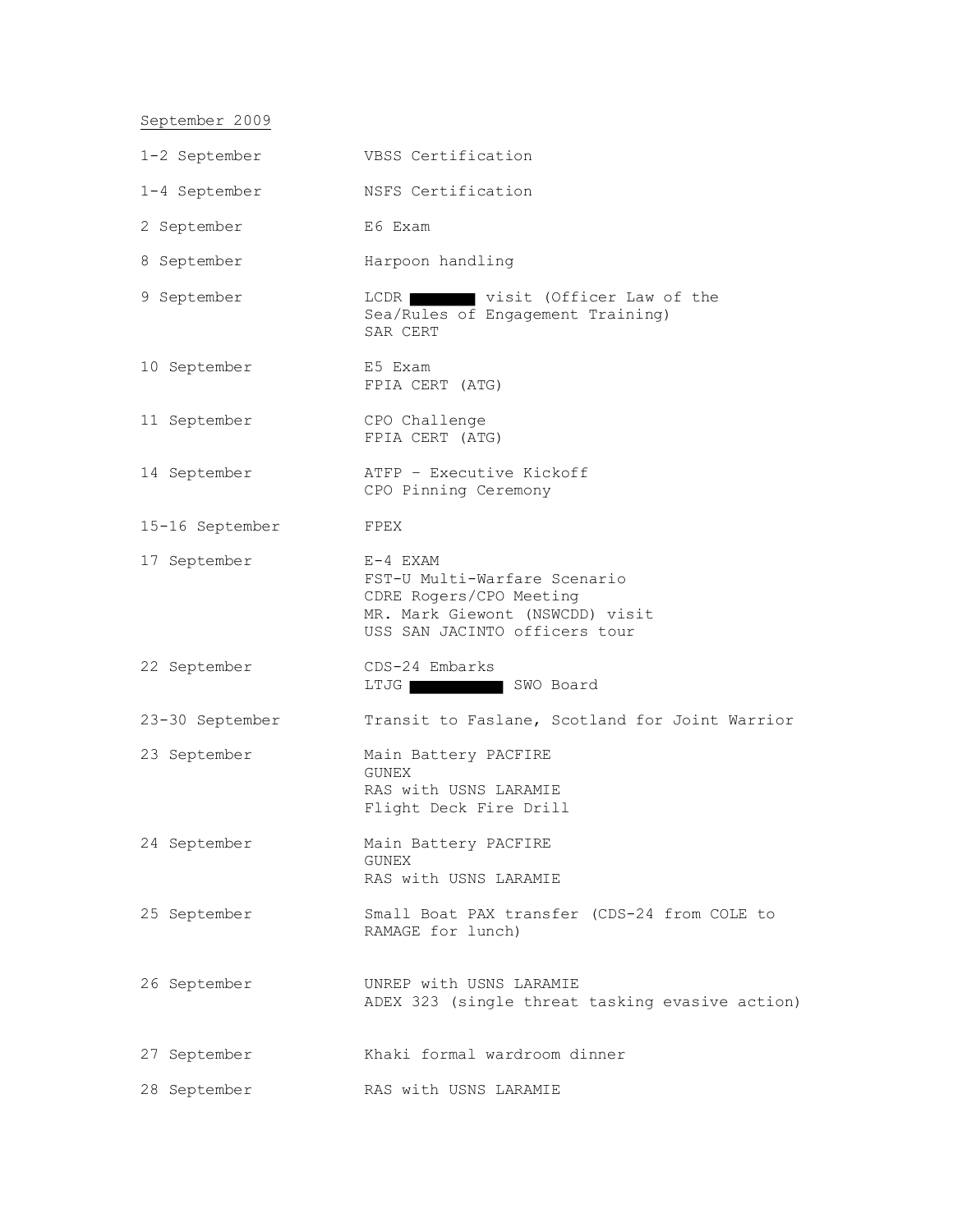# September 2009

| 1-2 September   | VBSS Certification                                                                                                                        |
|-----------------|-------------------------------------------------------------------------------------------------------------------------------------------|
| 1-4 September   | NSFS Certification                                                                                                                        |
| 2 September     | E6 Exam                                                                                                                                   |
| 8 September     | Harpoon handling                                                                                                                          |
| 9 September     | LCDR visit (Officer Law of the<br>Sea/Rules of Engagement Training)<br>SAR CERT                                                           |
| 10 September    | E5 Exam<br>FPIA CERT (ATG)                                                                                                                |
| 11 September    | CPO Challenge<br>FPIA CERT (ATG)                                                                                                          |
| 14 September    | ATFP - Executive Kickoff<br>CPO Pinning Ceremony                                                                                          |
| 15-16 September | FPEX                                                                                                                                      |
| 17 September    | $E-4$ EXAM<br>FST-U Multi-Warfare Scenario<br>CDRE Rogers/CPO Meeting<br>MR. Mark Giewont (NSWCDD) visit<br>USS SAN JACINTO officers tour |
| 22 September    | CDS-24 Embarks<br>LTJG SWO Board                                                                                                          |
| 23-30 September | Transit to Faslane, Scotland for Joint Warrior                                                                                            |
| 23 September    | Main Battery PACFIRE<br>GUNEX<br>RAS with USNS LARAMIE<br>Flight Deck Fire Drill                                                          |
| 24 September    | Main Battery PACFIRE<br><b>GUNEX</b><br>RAS with USNS LARAMIE                                                                             |
| 25 September    | Small Boat PAX transfer (CDS-24 from COLE to<br>RAMAGE for lunch)                                                                         |
| 26 September    | UNREP with USNS LARAMIE<br>ADEX 323 (single threat tasking evasive action)                                                                |
| 27 September    | Khaki formal wardroom dinner                                                                                                              |
| 28 September    | RAS with USNS LARAMIE                                                                                                                     |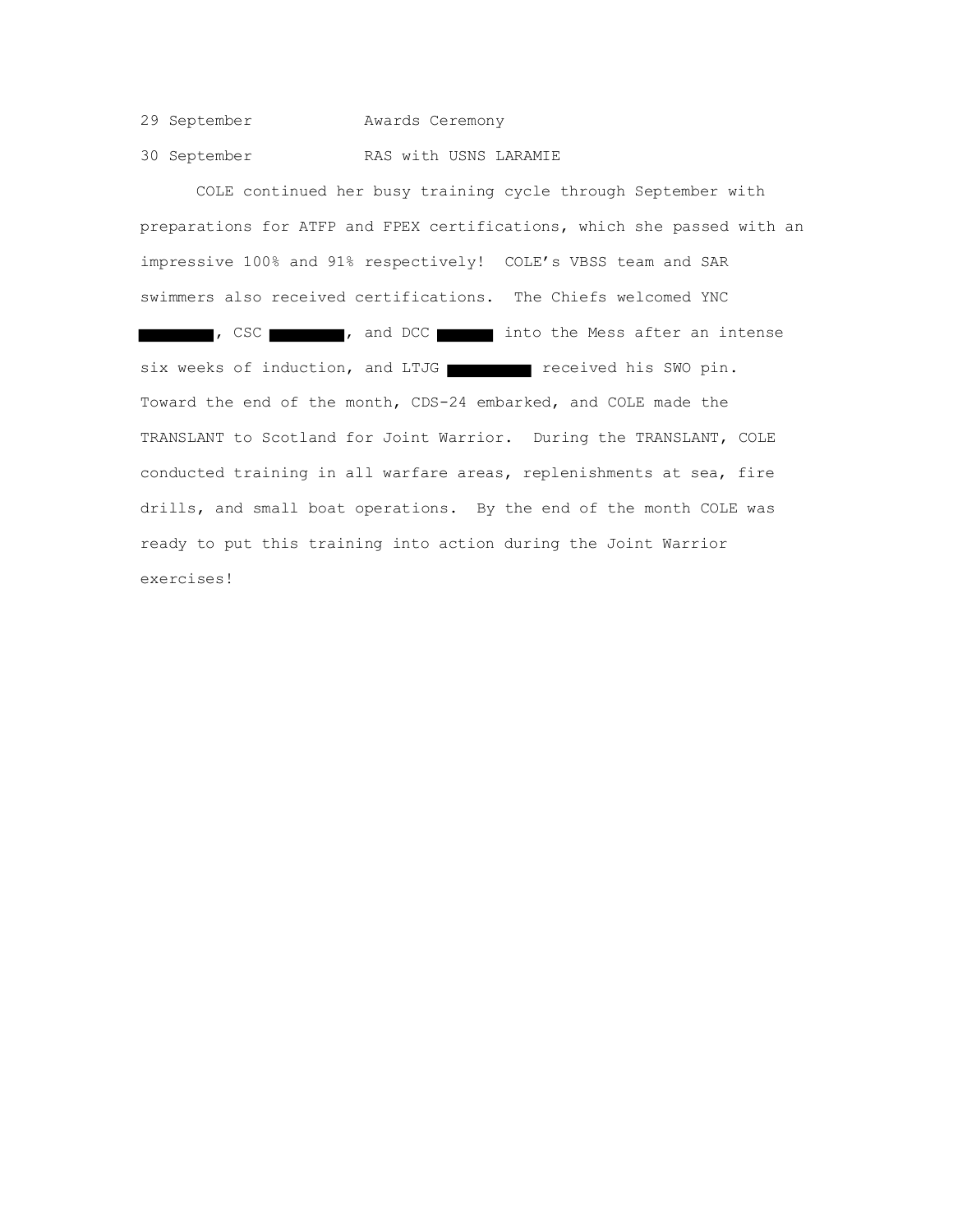29 September Awards Ceremony

30 September RAS with USNS LARAMIE

COLE continued her busy training cycle through September with preparations for ATFP and FPEX certifications, which she passed with an impressive 100% and 91% respectively! COLE's VBSS team and SAR swimmers also received certifications. The Chiefs welcomed YNC , CSC **into the Mess after an intense** six weeks of induction, and LTJG received his SWO pin. Toward the end of the month, CDS-24 embarked, and COLE made the TRANSLANT to Scotland for Joint Warrior. During the TRANSLANT, COLE conducted training in all warfare areas, replenishments at sea, fire drills, and small boat operations. By the end of the month COLE was ready to put this training into action during the Joint Warrior exercises!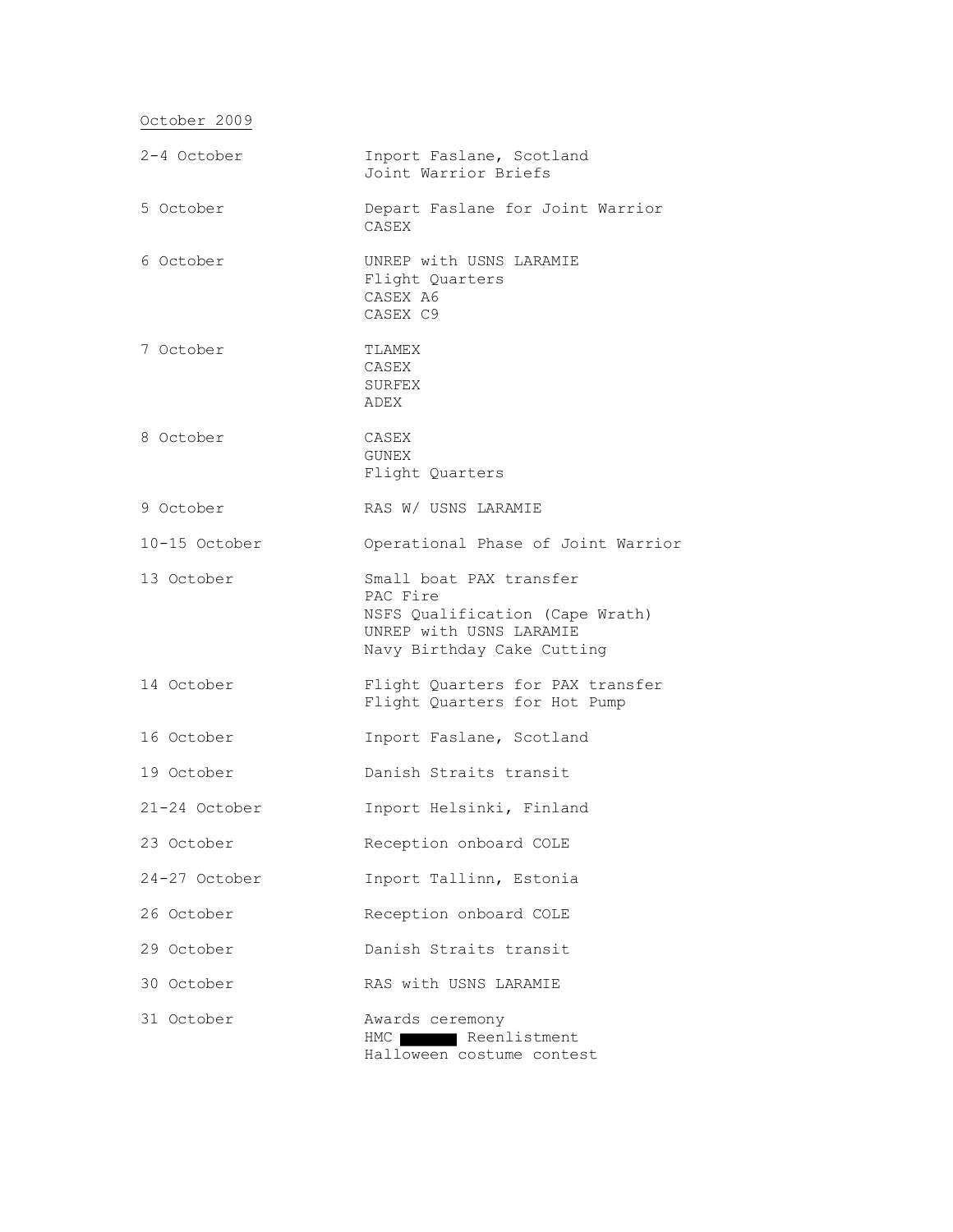October 2009

| 2-4 October   | Inport Faslane, Scotland<br>Joint Warrior Briefs                                                                                |
|---------------|---------------------------------------------------------------------------------------------------------------------------------|
| 5 October     | Depart Faslane for Joint Warrior<br>CASEX                                                                                       |
| 6 October     | UNREP with USNS LARAMIE<br>Flight Quarters<br>CASEX A6<br>CASEX C9                                                              |
| 7 October     | TLAMEX<br>CASEX<br>SURFEX<br>ADEX                                                                                               |
| 8 October     | CASEX<br>GUNEX<br>Flight Quarters                                                                                               |
| 9 October     | RAS W/ USNS LARAMIE                                                                                                             |
| 10-15 October | Operational Phase of Joint Warrior                                                                                              |
| 13 October    | Small boat PAX transfer<br>PAC Fire<br>NSFS Qualification (Cape Wrath)<br>UNREP with USNS LARAMIE<br>Navy Birthday Cake Cutting |
| 14 October    | Flight Quarters for PAX transfer<br>Flight Quarters for Hot Pump                                                                |
| 16 October    | Inport Faslane, Scotland                                                                                                        |
| 19 October    | Danish Straits transit                                                                                                          |
| 21-24 October | Inport Helsinki, Finland                                                                                                        |
| 23 October    | Reception onboard COLE                                                                                                          |
| 24-27 October | Inport Tallinn, Estonia                                                                                                         |
| 26 October    | Reception onboard COLE                                                                                                          |
| 29 October    | Danish Straits transit                                                                                                          |
| 30 October    | RAS with USNS LARAMIE                                                                                                           |
| 31 October    | Awards ceremony<br>Reenlistment<br>HMC  <br>Halloween costume contest                                                           |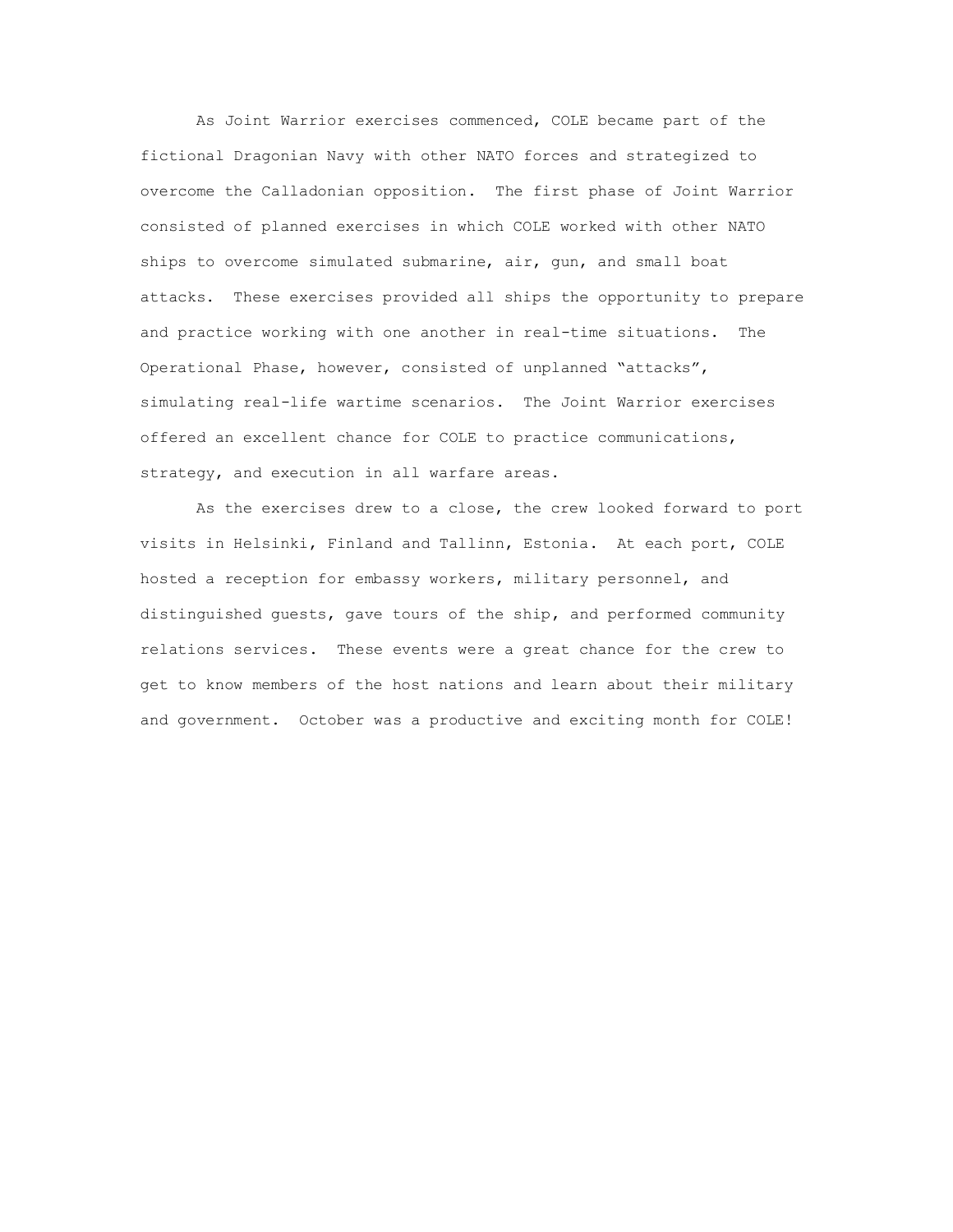As Joint Warrior exercises commenced, COLE became part of the fictional Dragonian Navy with other NATO forces and strategized to overcome the Calladonian opposition. The first phase of Joint Warrior consisted of planned exercises in which COLE worked with other NATO ships to overcome simulated submarine, air, gun, and small boat attacks. These exercises provided all ships the opportunity to prepare and practice working with one another in real-time situations. The Operational Phase, however, consisted of unplanned "attacks", simulating real-life wartime scenarios. The Joint Warrior exercises offered an excellent chance for COLE to practice communications, strategy, and execution in all warfare areas.

As the exercises drew to a close, the crew looked forward to port visits in Helsinki, Finland and Tallinn, Estonia. At each port, COLE hosted a reception for embassy workers, military personnel, and distinguished guests, gave tours of the ship, and performed community relations services. These events were a great chance for the crew to get to know members of the host nations and learn about their military and government. October was a productive and exciting month for COLE!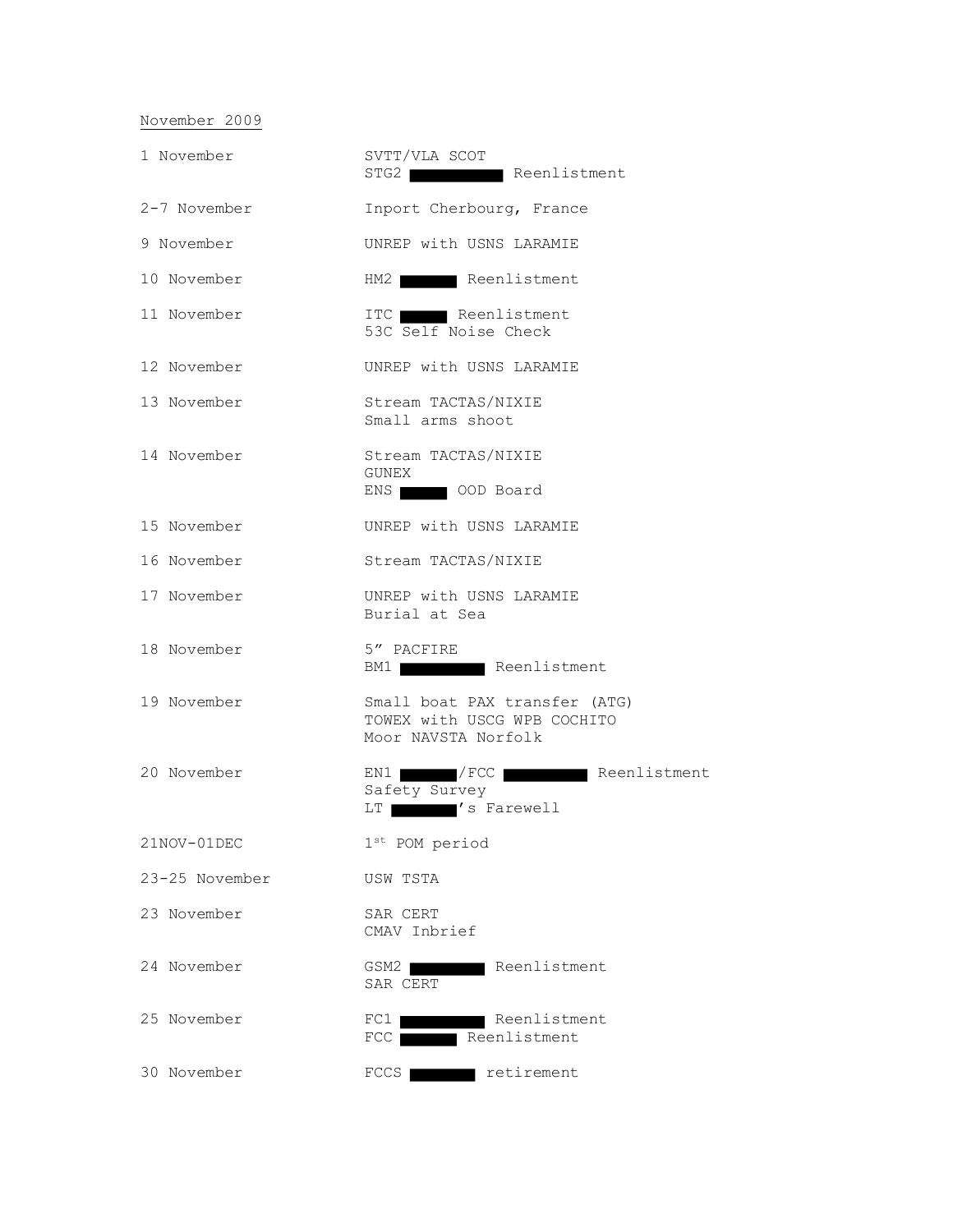## November 2009

| 1 November     | SVTT/VLA SCOT<br>STG2 Reenlistment                                                  |
|----------------|-------------------------------------------------------------------------------------|
| 2-7 November   | Inport Cherbourg, France                                                            |
| 9 November     | UNREP with USNS LARAMIE                                                             |
| 10 November    | HM2 Reenlistment                                                                    |
| 11 November    | ITC Reenlistment<br>53C Self Noise Check                                            |
| 12 November    | UNREP with USNS LARAMIE                                                             |
| 13 November    | Stream TACTAS/NIXIE<br>Small arms shoot                                             |
| 14 November    | Stream TACTAS/NIXIE<br>GUNEX<br>ENS OOD Board                                       |
| 15 November    | UNREP with USNS LARAMIE                                                             |
| 16 November    | Stream TACTAS/NIXIE                                                                 |
| 17 November    | UNREP with USNS LARAMIE<br>Burial at Sea                                            |
| 18 November    | 5" PACFIRE<br>BM1 Reenlistment                                                      |
| 19 November    | Small boat PAX transfer (ATG)<br>TOWEX with USCG WPB COCHITO<br>Moor NAVSTA Norfolk |
| 20 November    | EN1 / FCC Reenlistment<br>Safety Survey<br>LT /s Farewell                           |
| 21NOV-01DEC    | $1st$ POM period                                                                    |
| 23-25 November | USW TSTA                                                                            |
| 23 November    | SAR CERT<br>CMAV Inbrief                                                            |
| 24 November    | GSM2<br>Reenlistment<br>SAR CERT                                                    |
| 25 November    | Reenlistment<br>$FC1$  <br>FCC Reenlistment                                         |
| 30 November    | retirement<br>FCCS                                                                  |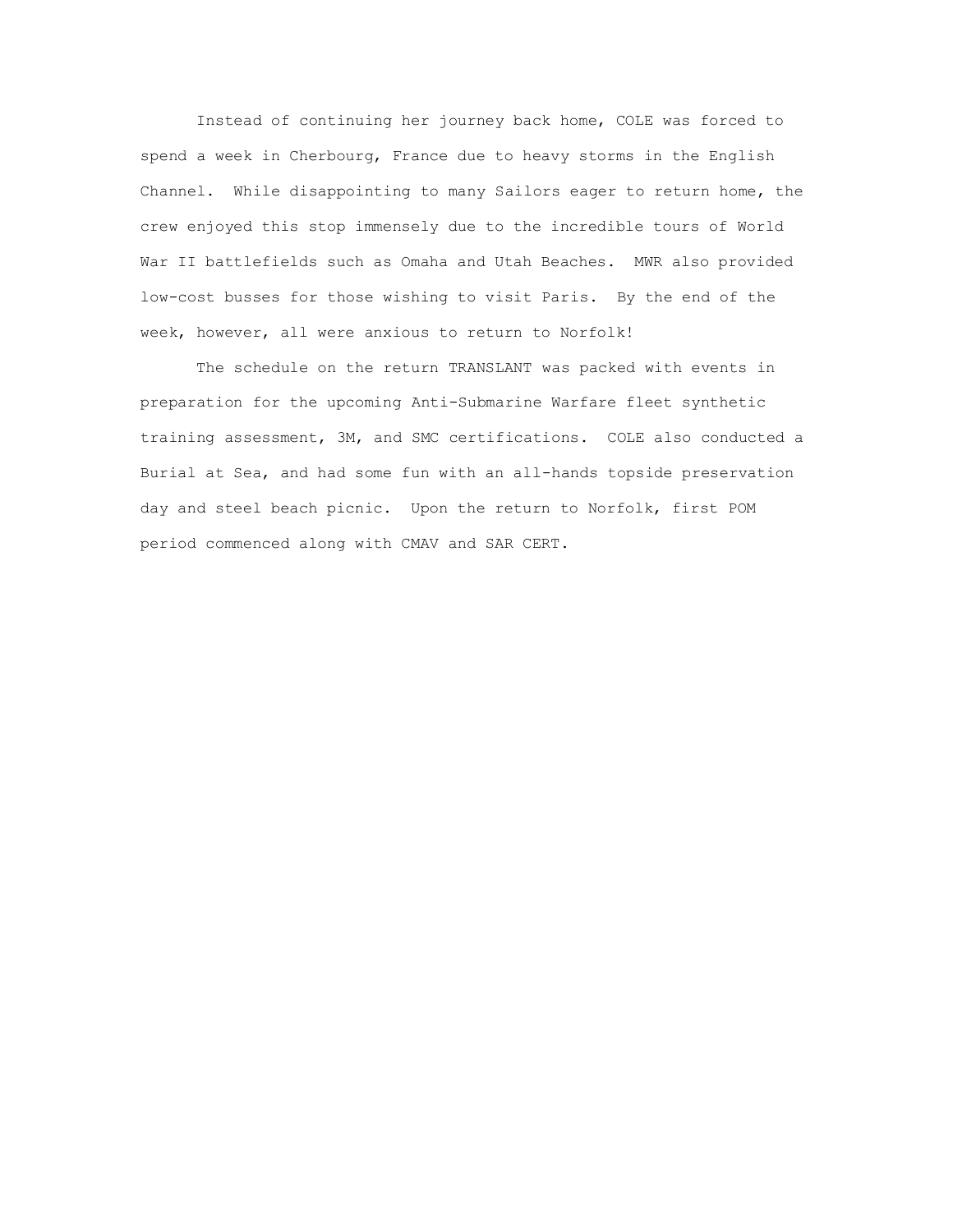Instead of continuing her journey back home, COLE was forced to spend a week in Cherbourg, France due to heavy storms in the English Channel. While disappointing to many Sailors eager to return home, the crew enjoyed this stop immensely due to the incredible tours of World War II battlefields such as Omaha and Utah Beaches. MWR also provided low-cost busses for those wishing to visit Paris. By the end of the week, however, all were anxious to return to Norfolk!

The schedule on the return TRANSLANT was packed with events in preparation for the upcoming Anti-Submarine Warfare fleet synthetic training assessment, 3M, and SMC certifications. COLE also conducted a Burial at Sea, and had some fun with an all-hands topside preservation day and steel beach picnic. Upon the return to Norfolk, first POM period commenced along with CMAV and SAR CERT.